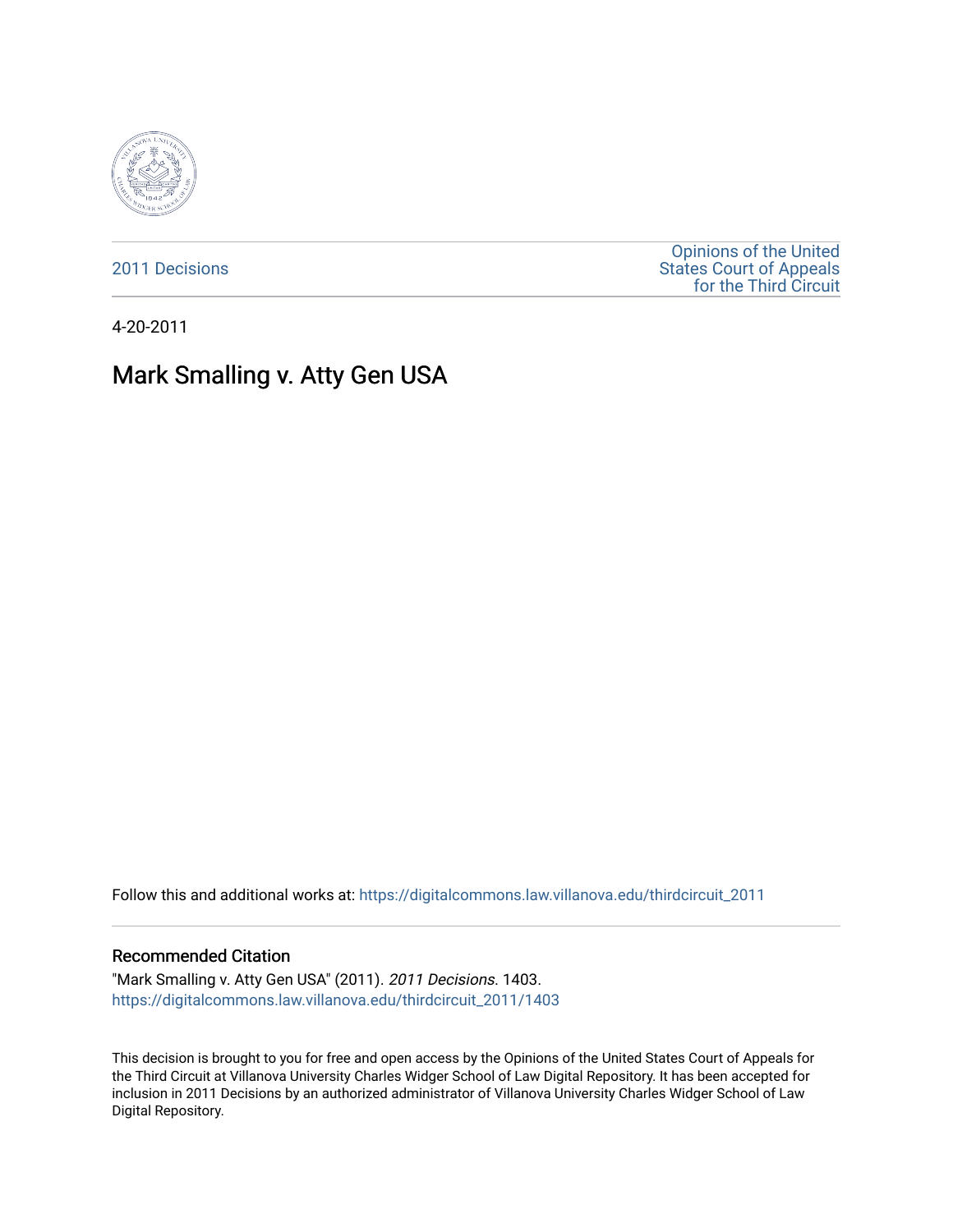

[2011 Decisions](https://digitalcommons.law.villanova.edu/thirdcircuit_2011)

[Opinions of the United](https://digitalcommons.law.villanova.edu/thirdcircuit)  [States Court of Appeals](https://digitalcommons.law.villanova.edu/thirdcircuit)  [for the Third Circuit](https://digitalcommons.law.villanova.edu/thirdcircuit) 

4-20-2011

# Mark Smalling v. Atty Gen USA

Follow this and additional works at: [https://digitalcommons.law.villanova.edu/thirdcircuit\\_2011](https://digitalcommons.law.villanova.edu/thirdcircuit_2011?utm_source=digitalcommons.law.villanova.edu%2Fthirdcircuit_2011%2F1403&utm_medium=PDF&utm_campaign=PDFCoverPages) 

#### Recommended Citation

"Mark Smalling v. Atty Gen USA" (2011). 2011 Decisions. 1403. [https://digitalcommons.law.villanova.edu/thirdcircuit\\_2011/1403](https://digitalcommons.law.villanova.edu/thirdcircuit_2011/1403?utm_source=digitalcommons.law.villanova.edu%2Fthirdcircuit_2011%2F1403&utm_medium=PDF&utm_campaign=PDFCoverPages) 

This decision is brought to you for free and open access by the Opinions of the United States Court of Appeals for the Third Circuit at Villanova University Charles Widger School of Law Digital Repository. It has been accepted for inclusion in 2011 Decisions by an authorized administrator of Villanova University Charles Widger School of Law Digital Repository.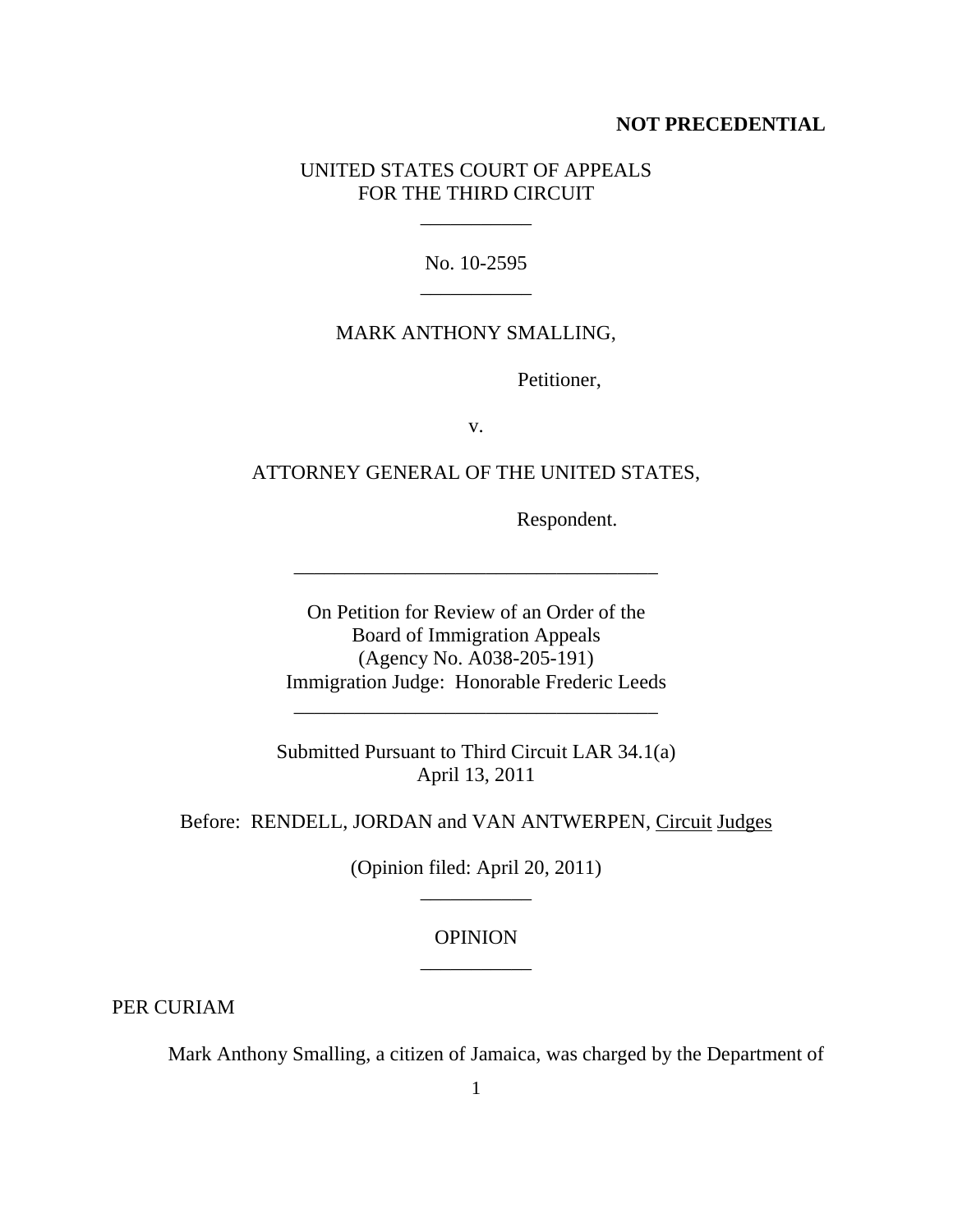### **NOT PRECEDENTIAL**

## UNITED STATES COURT OF APPEALS FOR THE THIRD CIRCUIT

\_\_\_\_\_\_\_\_\_\_\_

No. 10-2595 \_\_\_\_\_\_\_\_\_\_\_

## MARK ANTHONY SMALLING,

Petitioner,

v.

ATTORNEY GENERAL OF THE UNITED STATES,

Respondent.

On Petition for Review of an Order of the Board of Immigration Appeals (Agency No. A038-205-191) Immigration Judge: Honorable Frederic Leeds

\_\_\_\_\_\_\_\_\_\_\_\_\_\_\_\_\_\_\_\_\_\_\_\_\_\_\_\_\_\_\_\_\_\_\_\_

Submitted Pursuant to Third Circuit LAR 34.1(a) April 13, 2011

\_\_\_\_\_\_\_\_\_\_\_\_\_\_\_\_\_\_\_\_\_\_\_\_\_\_\_\_\_\_\_\_\_\_\_\_

Before: RENDELL, JORDAN and VAN ANTWERPEN, Circuit Judges

(Opinion filed: April 20, 2011) \_\_\_\_\_\_\_\_\_\_\_

## **OPINION** \_\_\_\_\_\_\_\_\_\_\_

PER CURIAM

Mark Anthony Smalling, a citizen of Jamaica, was charged by the Department of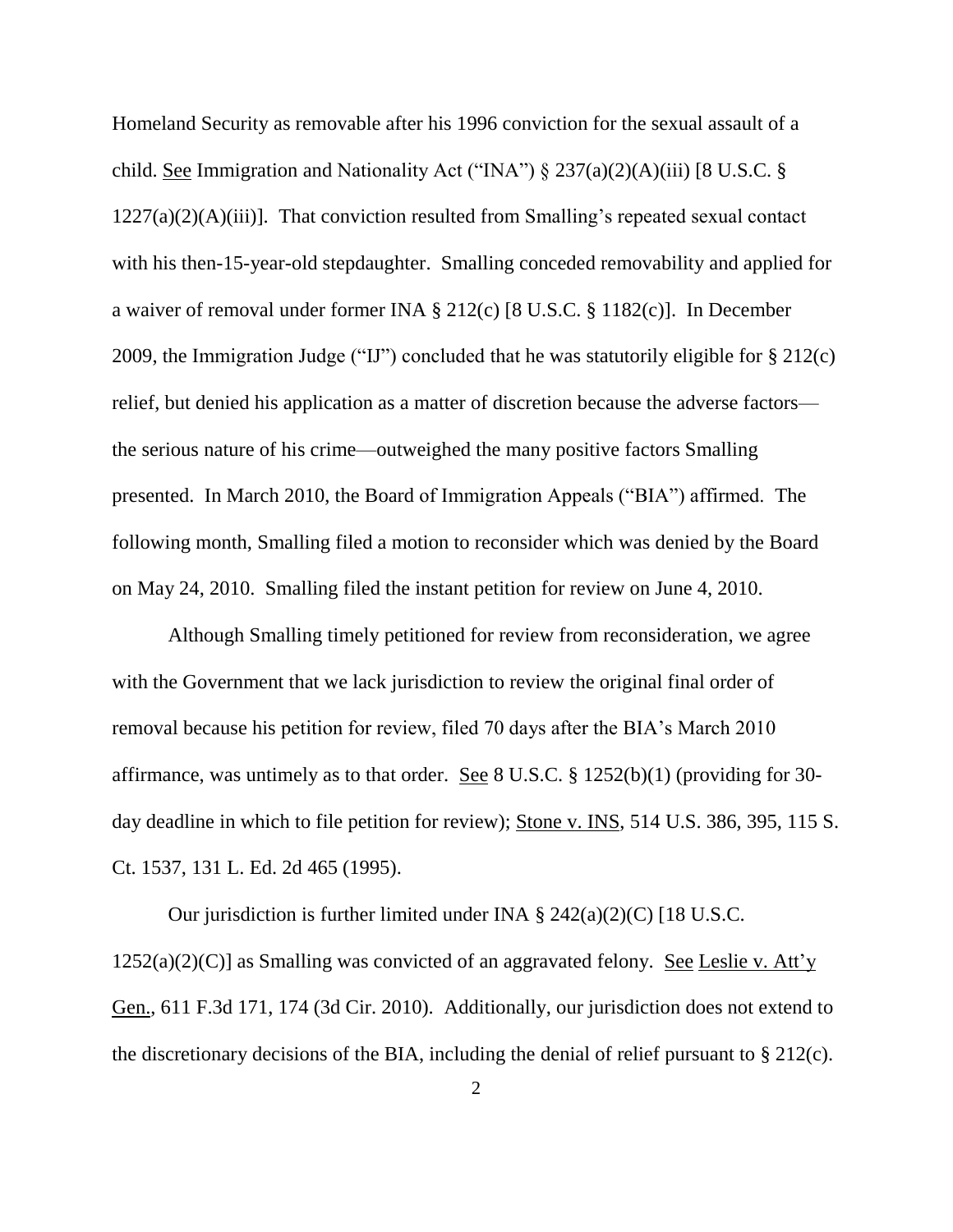Homeland Security as removable after his 1996 conviction for the sexual assault of a child. See Immigration and Nationality Act ("INA")  $\S 237(a)(2)(A)(iii)$  [8 U.S.C.  $\S$  $1227(a)(2)(A)(iii)$ . That conviction resulted from Smalling's repeated sexual contact with his then-15-year-old stepdaughter. Smalling conceded removability and applied for a waiver of removal under former INA § 212(c) [8 U.S.C. § 1182(c)]. In December 2009, the Immigration Judge ("IJ") concluded that he was statutorily eligible for § 212(c) relief, but denied his application as a matter of discretion because the adverse factors the serious nature of his crime—outweighed the many positive factors Smalling presented. In March 2010, the Board of Immigration Appeals ("BIA") affirmed. The following month, Smalling filed a motion to reconsider which was denied by the Board on May 24, 2010. Smalling filed the instant petition for review on June 4, 2010.

Although Smalling timely petitioned for review from reconsideration, we agree with the Government that we lack jurisdiction to review the original final order of removal because his petition for review, filed 70 days after the BIA's March 2010 affirmance, was untimely as to that order. See 8 U.S.C. § 1252(b)(1) (providing for 30 day deadline in which to file petition for review); Stone v. INS, 514 U.S. 386, 395, 115 S. Ct. 1537, 131 L. Ed. 2d 465 (1995).

Our jurisdiction is further limited under INA § 242(a)(2)(C) [18 U.S.C.  $1252(a)(2)(C)$ ] as Smalling was convicted of an aggravated felony. See Leslie v. Att'y Gen., 611 F.3d 171, 174 (3d Cir. 2010). Additionally, our jurisdiction does not extend to the discretionary decisions of the BIA, including the denial of relief pursuant to § 212(c).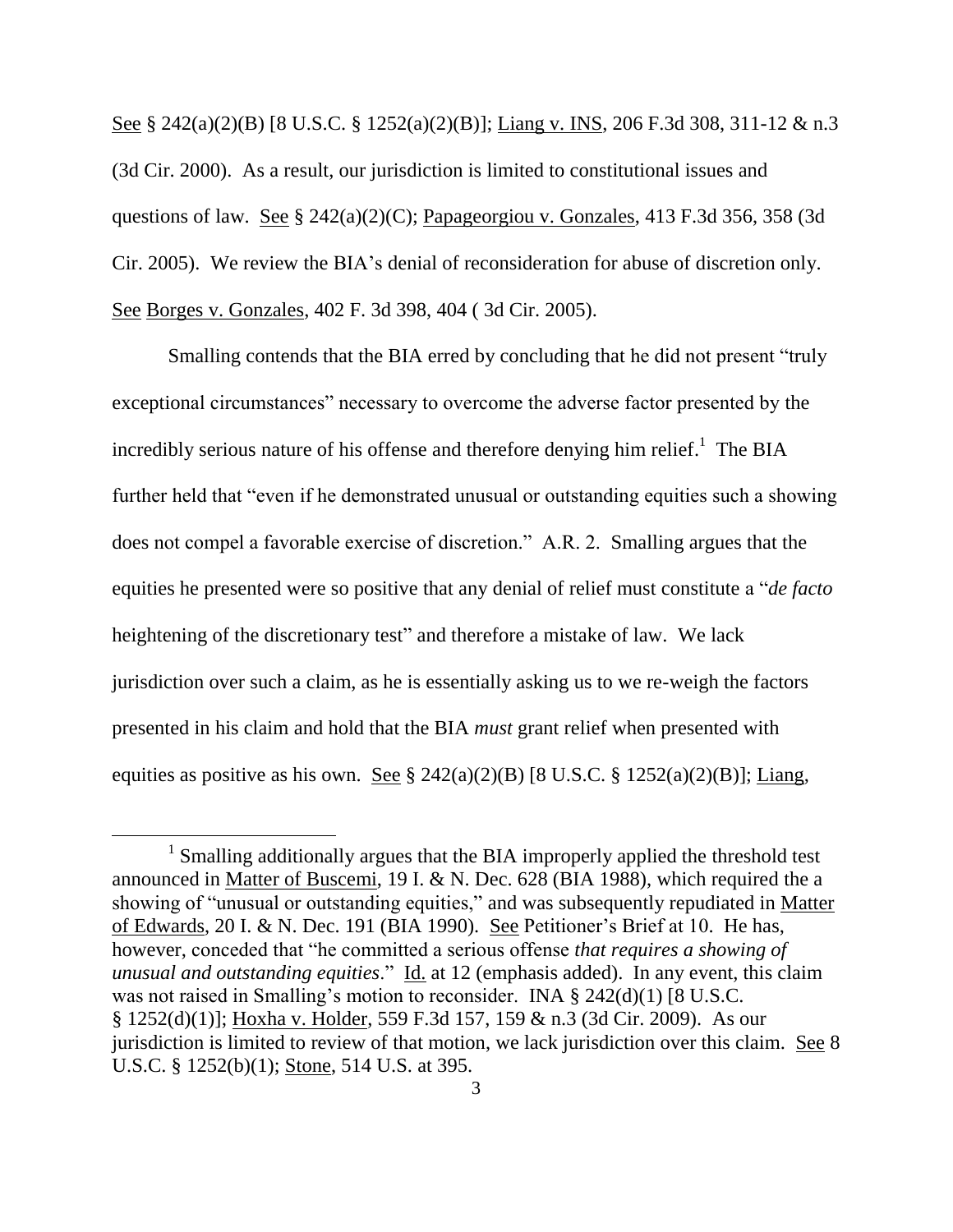See § 242(a)(2)(B) [8 U.S.C. § 1252(a)(2)(B)]; Liang v. INS, 206 F.3d 308, 311-12 & n.3 (3d Cir. 2000). As a result, our jurisdiction is limited to constitutional issues and questions of law. See § 242(a)(2)(C); Papageorgiou v. Gonzales, 413 F.3d 356, 358 (3d Cir. 2005). We review the BIA's denial of reconsideration for abuse of discretion only. See Borges v. Gonzales, 402 F. 3d 398, 404 ( 3d Cir. 2005).

Smalling contends that the BIA erred by concluding that he did not present "truly exceptional circumstances" necessary to overcome the adverse factor presented by the incredibly serious nature of his offense and therefore denying him relief.<sup>1</sup> The BIA further held that "even if he demonstrated unusual or outstanding equities such a showing does not compel a favorable exercise of discretion." A.R. 2. Smalling argues that the equities he presented were so positive that any denial of relief must constitute a "*de facto* heightening of the discretionary test" and therefore a mistake of law. We lack jurisdiction over such a claim, as he is essentially asking us to we re-weigh the factors presented in his claim and hold that the BIA *must* grant relief when presented with equities as positive as his own. See § 242(a)(2)(B) [8 U.S.C. § 1252(a)(2)(B)]; Liang,

 $\overline{a}$ 

<sup>&</sup>lt;sup>1</sup> Smalling additionally argues that the BIA improperly applied the threshold test announced in Matter of Buscemi, 19 I. & N. Dec. 628 (BIA 1988), which required the a showing of "unusual or outstanding equities," and was subsequently repudiated in Matter of Edwards, 20 I. & N. Dec. 191 (BIA 1990). See Petitioner's Brief at 10. He has, however, conceded that "he committed a serious offense *that requires a showing of unusual and outstanding equities*." Id. at 12 (emphasis added). In any event, this claim was not raised in Smalling's motion to reconsider. INA § 242(d)(1) [8 U.S.C. § 1252(d)(1)]; Hoxha v. Holder, 559 F.3d 157, 159 & n.3 (3d Cir. 2009). As our jurisdiction is limited to review of that motion, we lack jurisdiction over this claim. See 8 U.S.C. § 1252(b)(1); Stone, 514 U.S. at 395.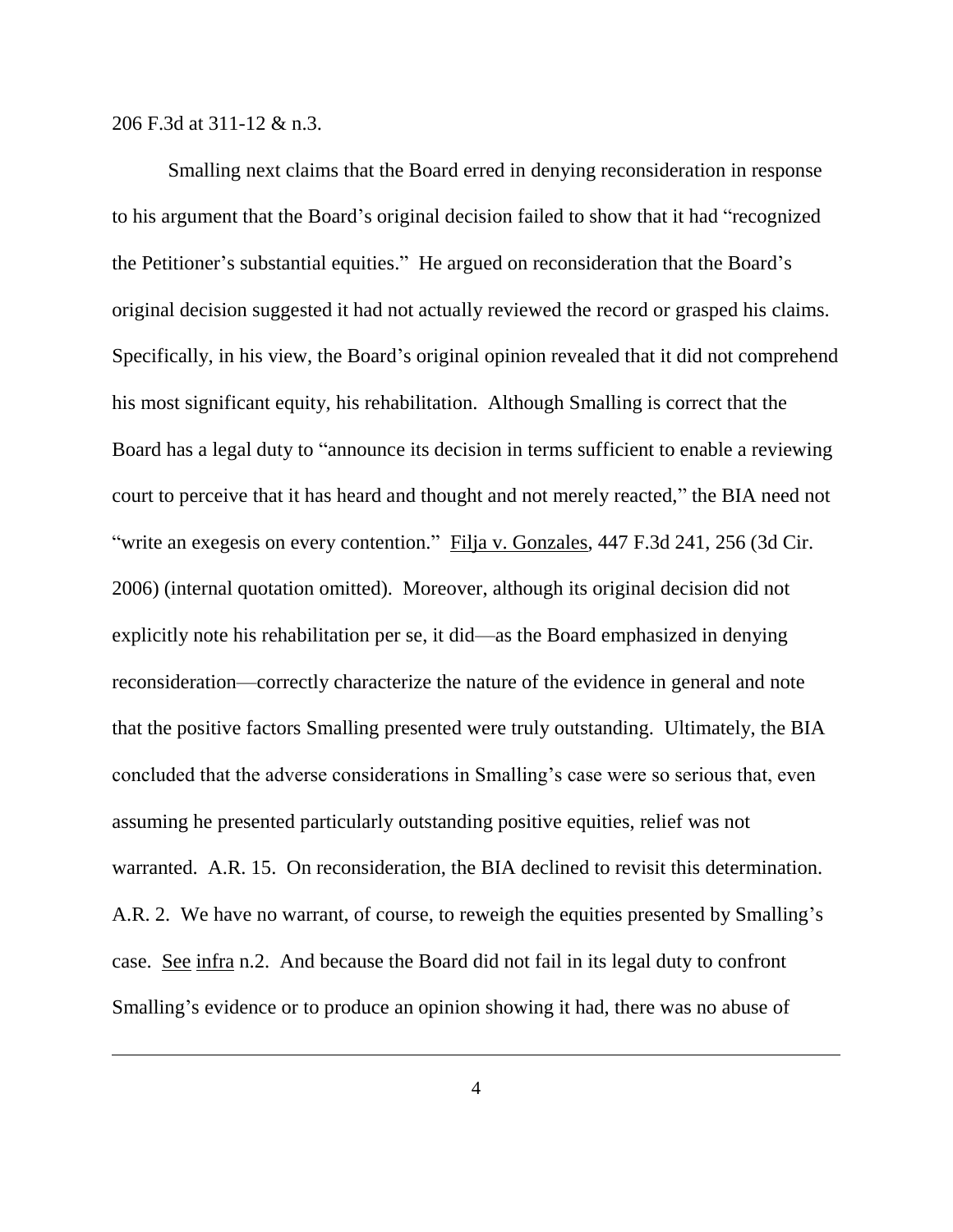206 F.3d at 311-12 & n.3.

 $\overline{a}$ 

Smalling next claims that the Board erred in denying reconsideration in response to his argument that the Board's original decision failed to show that it had "recognized the Petitioner's substantial equities." He argued on reconsideration that the Board's original decision suggested it had not actually reviewed the record or grasped his claims. Specifically, in his view, the Board's original opinion revealed that it did not comprehend his most significant equity, his rehabilitation. Although Smalling is correct that the Board has a legal duty to "announce its decision in terms sufficient to enable a reviewing court to perceive that it has heard and thought and not merely reacted," the BIA need not "write an exegesis on every contention." Filja v. Gonzales, 447 F.3d 241, 256 (3d Cir. 2006) (internal quotation omitted). Moreover, although its original decision did not explicitly note his rehabilitation per se, it did—as the Board emphasized in denying reconsideration—correctly characterize the nature of the evidence in general and note that the positive factors Smalling presented were truly outstanding. Ultimately, the BIA concluded that the adverse considerations in Smalling's case were so serious that, even assuming he presented particularly outstanding positive equities, relief was not warranted. A.R. 15. On reconsideration, the BIA declined to revisit this determination. A.R. 2. We have no warrant, of course, to reweigh the equities presented by Smalling's case. See infra n.2. And because the Board did not fail in its legal duty to confront Smalling's evidence or to produce an opinion showing it had, there was no abuse of